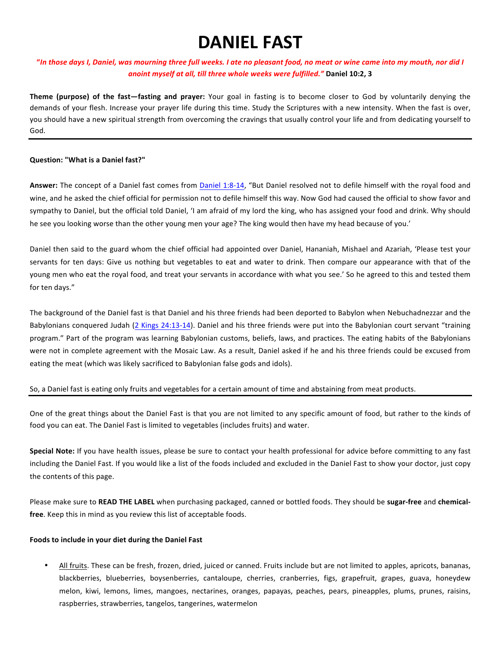# **DANIEL FAST**

### **"***In those days I, Daniel, was mourning three full weeks. I ate no pleasant food, no meat or wine came into my mouth, nor did I* anoint myself at all, till three whole weeks were fulfilled." Daniel 10:2, 3

**Theme (purpose)** of the fast—fasting and prayer: Your goal in fasting is to become closer to God by voluntarily denying the demands of your flesh. Increase your prayer life during this time. Study the Scriptures with a new intensity. When the fast is over, you should have a new spiritual strength from overcoming the cravings that usually control your life and from dedicating yourself to God.

#### **Question: "What is a Daniel fast?"**

Answer: The concept of a Daniel fast comes from Daniel 1:8-14, "But Daniel resolved not to defile himself with the royal food and wine, and he asked the chief official for permission not to defile himself this way. Now God had caused the official to show favor and sympathy to Daniel, but the official told Daniel, 'I am afraid of my lord the king, who has assigned your food and drink. Why should he see you looking worse than the other young men your age? The king would then have my head because of you.'

Daniel then said to the guard whom the chief official had appointed over Daniel, Hananiah, Mishael and Azariah, 'Please test your servants for ten days: Give us nothing but vegetables to eat and water to drink. Then compare our appearance with that of the young men who eat the royal food, and treat your servants in accordance with what you see.' So he agreed to this and tested them for ten days."

The background of the Daniel fast is that Daniel and his three friends had been deported to Babylon when Nebuchadnezzar and the Babylonians conquered Judah (2 Kings 24:13-14). Daniel and his three friends were put into the Babylonian court servant "training program." Part of the program was learning Babylonian customs, beliefs, laws, and practices. The eating habits of the Babylonians were not in complete agreement with the Mosaic Law. As a result, Daniel asked if he and his three friends could be excused from eating the meat (which was likely sacrificed to Babylonian false gods and idols).

#### So, a Daniel fast is eating only fruits and vegetables for a certain amount of time and abstaining from meat products.

One of the great things about the Daniel Fast is that you are not limited to any specific amount of food, but rather to the kinds of food you can eat. The Daniel Fast is limited to vegetables (includes fruits) and water.

**Special Note:** If you have health issues, please be sure to contact your health professional for advice before committing to any fast including the Daniel Fast. If you would like a list of the foods included and excluded in the Daniel Fast to show your doctor, just copy the contents of this page.

Please make sure to READ THE LABEL when purchasing packaged, canned or bottled foods. They should be sugar-free and chemical**free**. Keep this in mind as you review this list of acceptable foods.

#### Foods to include in your diet during the Daniel Fast

All fruits. These can be fresh, frozen, dried, juiced or canned. Fruits include but are not limited to apples, apricots, bananas, blackberries, blueberries, boysenberries, cantaloupe, cherries, cranberries, figs, grapefruit, grapes, guava, honeydew melon, kiwi, lemons, limes, mangoes, nectarines, oranges, papayas, peaches, pears, pineapples, plums, prunes, raisins, raspberries, strawberries, tangelos, tangerines, watermelon